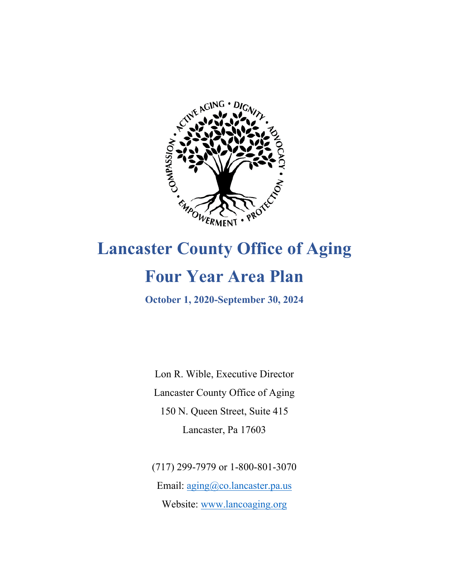

# **Lancaster County Office of Aging**

# **Four Year Area Plan**

**October 1, 2020-September 30, 2024**

Lon R. Wible, Executive Director Lancaster County Office of Aging 150 N. Queen Street, Suite 415 Lancaster, Pa 17603

(717) 299-7979 or 1-800-801-3070 Email: [aging@co.lancaster.pa.us](mailto:aging@co.lancaster.pa.us) Website: [www.lancoaging.org](http://www.lancoaging.org/)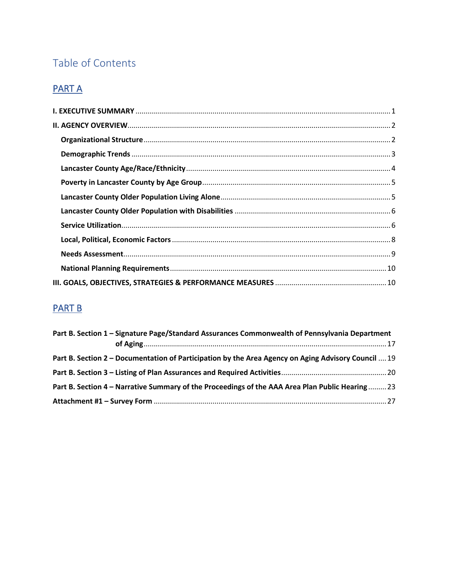# Table of Contents

# **PARTA**

# **PART B**

| Part B. Section 1 - Signature Page/Standard Assurances Commonwealth of Pennsylvania Department      |  |
|-----------------------------------------------------------------------------------------------------|--|
|                                                                                                     |  |
| Part B. Section 2 – Documentation of Participation by the Area Agency on Aging Advisory Council  19 |  |
|                                                                                                     |  |
| Part B. Section 4 – Narrative Summary of the Proceedings of the AAA Area Plan Public Hearing 23     |  |
|                                                                                                     |  |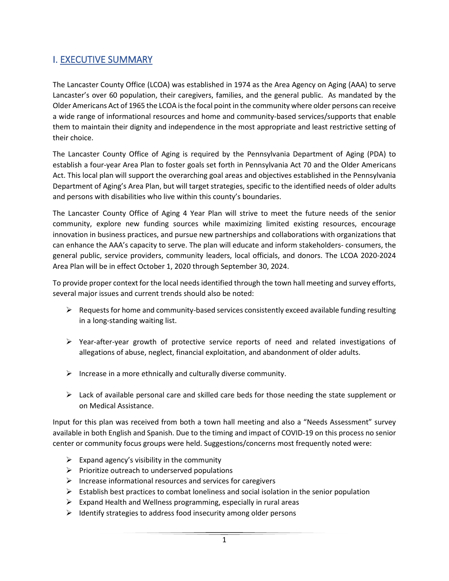## <span id="page-2-0"></span>I. EXECUTIVE SUMMARY

The Lancaster County Office (LCOA) was established in 1974 as the Area Agency on Aging (AAA) to serve Lancaster's over 60 population, their caregivers, families, and the general public. As mandated by the Older Americans Act of 1965 the LCOA is the focal point in the community where older persons can receive a wide range of informational resources and home and community-based services/supports that enable them to maintain their dignity and independence in the most appropriate and least restrictive setting of their choice.

The Lancaster County Office of Aging is required by the Pennsylvania Department of Aging (PDA) to establish a four-year Area Plan to foster goals set forth in Pennsylvania Act 70 and the Older Americans Act. This local plan will support the overarching goal areas and objectives established in the Pennsylvania Department of Aging's Area Plan, but will target strategies, specific to the identified needs of older adults and persons with disabilities who live within this county's boundaries.

The Lancaster County Office of Aging 4 Year Plan will strive to meet the future needs of the senior community, explore new funding sources while maximizing limited existing resources, encourage innovation in business practices, and pursue new partnerships and collaborations with organizations that can enhance the AAA's capacity to serve. The plan will educate and inform stakeholders- consumers, the general public, service providers, community leaders, local officials, and donors. The LCOA 2020-2024 Area Plan will be in effect October 1, 2020 through September 30, 2024.

To provide proper context for the local needs identified through the town hall meeting and survey efforts, several major issues and current trends should also be noted:

- $\triangleright$  Requests for home and community-based services consistently exceed available funding resulting in a long-standing waiting list.
- $\triangleright$  Year-after-year growth of protective service reports of need and related investigations of allegations of abuse, neglect, financial exploitation, and abandonment of older adults.
- $\triangleright$  Increase in a more ethnically and culturally diverse community.
- $\triangleright$  Lack of available personal care and skilled care beds for those needing the state supplement or on Medical Assistance.

Input for this plan was received from both a town hall meeting and also a "Needs Assessment" survey available in both English and Spanish. Due to the timing and impact of COVID-19 on this process no senior center or community focus groups were held. Suggestions/concerns most frequently noted were:

- $\triangleright$  Expand agency's visibility in the community
- $\triangleright$  Prioritize outreach to underserved populations
- $\triangleright$  Increase informational resources and services for caregivers
- $\triangleright$  Establish best practices to combat loneliness and social isolation in the senior population
- $\triangleright$  Expand Health and Wellness programming, especially in rural areas
- $\triangleright$  Identify strategies to address food insecurity among older persons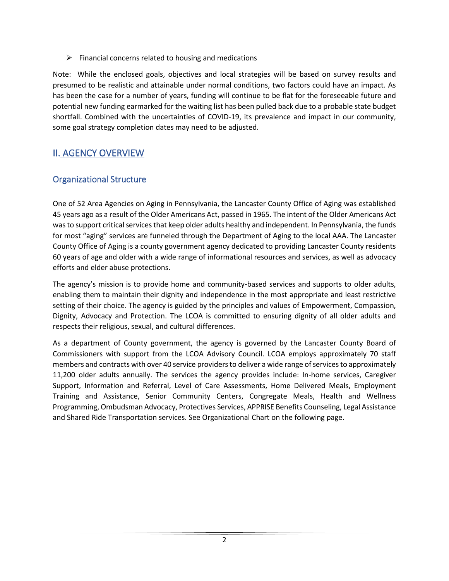$\triangleright$  Financial concerns related to housing and medications

Note: While the enclosed goals, objectives and local strategies will be based on survey results and presumed to be realistic and attainable under normal conditions, two factors could have an impact. As has been the case for a number of years, funding will continue to be flat for the foreseeable future and potential new funding earmarked for the waiting list has been pulled back due to a probable state budget shortfall. Combined with the uncertainties of COVID-19, its prevalence and impact in our community, some goal strategy completion dates may need to be adjusted.

### <span id="page-3-0"></span>II. AGENCY OVERVIEW

### <span id="page-3-1"></span>Organizational Structure

One of 52 Area Agencies on Aging in Pennsylvania, the Lancaster County Office of Aging was established 45 years ago as a result of the Older Americans Act, passed in 1965. The intent of the Older Americans Act was to support critical services that keep older adults healthy and independent. In Pennsylvania, the funds for most "aging" services are funneled through the Department of Aging to the local AAA. The Lancaster County Office of Aging is a county government agency dedicated to providing Lancaster County residents 60 years of age and older with a wide range of informational resources and services, as well as advocacy efforts and elder abuse protections.

The agency's mission is to provide home and community-based services and supports to older adults, enabling them to maintain their dignity and independence in the most appropriate and least restrictive setting of their choice. The agency is guided by the principles and values of Empowerment, Compassion, Dignity, Advocacy and Protection. The LCOA is committed to ensuring dignity of all older adults and respects their religious, sexual, and cultural differences.

As a department of County government, the agency is governed by the Lancaster County Board of Commissioners with support from the LCOA Advisory Council. LCOA employs approximately 70 staff members and contracts with over 40 service providers to deliver a wide range of servicesto approximately 11,200 older adults annually. The services the agency provides include: In-home services, Caregiver Support, Information and Referral, Level of Care Assessments, Home Delivered Meals, Employment Training and Assistance, Senior Community Centers, Congregate Meals, Health and Wellness Programming, Ombudsman Advocacy, Protectives Services, APPRISE Benefits Counseling, Legal Assistance and Shared Ride Transportation services. See Organizational Chart on the following page.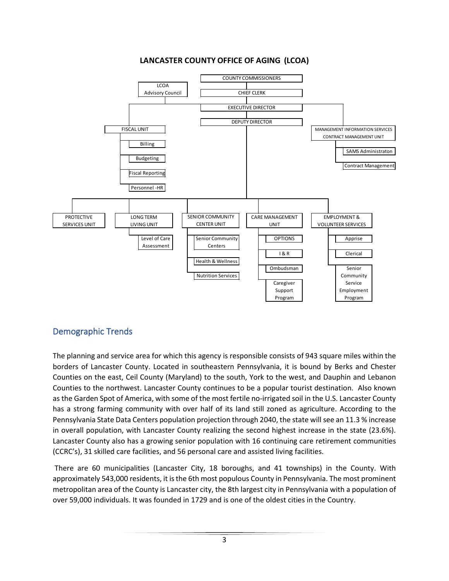

#### **LANCASTER COUNTY OFFICE OF AGING (LCOA)**

#### <span id="page-4-0"></span>Demographic Trends

The planning and service area for which this agency is responsible consists of 943 square miles within the borders of Lancaster County. Located in southeastern Pennsylvania, it is bound by Berks and Chester Counties on the east, Ceil County (Maryland) to the south, York to the west, and Dauphin and Lebanon Counties to the northwest. Lancaster County continues to be a popular tourist destination. Also known as the Garden Spot of America, with some of the most fertile no-irrigated soil in the U.S. Lancaster County has a strong farming community with over half of its land still zoned as agriculture. According to the Pennsylvania State Data Centers population projection through 2040, the state will see an 11.3 % increase in overall population, with Lancaster County realizing the second highest increase in the state (23.6%). Lancaster County also has a growing senior population with 16 continuing care retirement communities (CCRC's), 31 skilled care facilities, and 56 personal care and assisted living facilities.

There are 60 municipalities (Lancaster City, 18 boroughs, and 41 townships) in the County. With approximately 543,000 residents, it is the 6th most populous County in Pennsylvania. The most prominent metropolitan area of the County is Lancaster city, the 8th largest city in Pennsylvania with a population of over 59,000 individuals. It was founded in 1729 and is one of the oldest cities in the Country.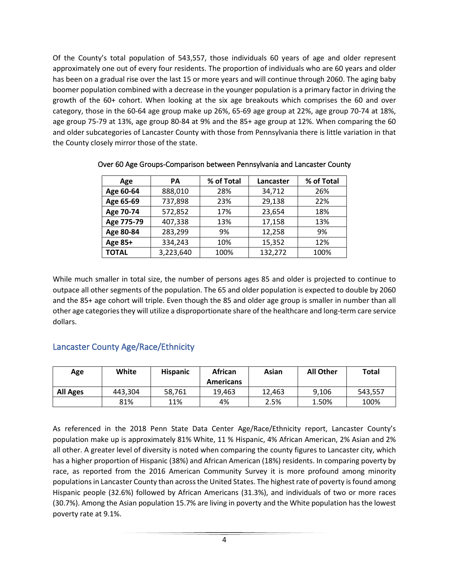Of the County's total population of 543,557, those individuals 60 years of age and older represent approximately one out of every four residents. The proportion of individuals who are 60 years and older has been on a gradual rise over the last 15 or more years and will continue through 2060. The aging baby boomer population combined with a decrease in the younger population is a primary factor in driving the growth of the 60+ cohort. When looking at the six age breakouts which comprises the 60 and over category, those in the 60-64 age group make up 26%, 65-69 age group at 22%, age group 70-74 at 18%, age group 75-79 at 13%, age group 80-84 at 9% and the 85+ age group at 12%. When comparing the 60 and older subcategories of Lancaster County with those from Pennsylvania there is little variation in that the County closely mirror those of the state.

| Age          | PА        | % of Total | Lancaster | % of Total |
|--------------|-----------|------------|-----------|------------|
| Age 60-64    | 888,010   | 28%        | 34,712    | 26%        |
| Age 65-69    | 737,898   | 23%        | 29,138    | 22%        |
| Age 70-74    | 572,852   | 17%        | 23,654    | 18%        |
| Age 775-79   | 407,338   | 13%        | 17,158    | 13%        |
| Age 80-84    | 283,299   | 9%         | 12,258    | 9%         |
| Age 85+      | 334,243   | 10%        | 15,352    | 12%        |
| <b>TOTAL</b> | 3,223,640 | 100%       | 132,272   | 100%       |

Over 60 Age Groups-Comparison between Pennsylvania and Lancaster County

While much smaller in total size, the number of persons ages 85 and older is projected to continue to outpace all other segments of the population. The 65 and older population is expected to double by 2060 and the 85+ age cohort will triple. Even though the 85 and older age group is smaller in number than all other age categories they will utilize a disproportionate share of the healthcare and long-term care service dollars.

### <span id="page-5-0"></span>Lancaster County Age/Race/Ethnicity

| Age             | White   | <b>Hispanic</b> | <b>African</b>   | Asian  | <b>All Other</b> | <b>Total</b> |
|-----------------|---------|-----------------|------------------|--------|------------------|--------------|
|                 |         |                 | <b>Americans</b> |        |                  |              |
| <b>All Ages</b> | 443,304 | 58.761          | 19.463           | 12.463 | 9.106            | 543,557      |
|                 | 81%     | 11%             | 4%               | 2.5%   | 1.50%            | 100%         |

As referenced in the 2018 Penn State Data Center Age/Race/Ethnicity report, Lancaster County's population make up is approximately 81% White, 11 % Hispanic, 4% African American, 2% Asian and 2% all other. A greater level of diversity is noted when comparing the county figures to Lancaster city, which has a higher proportion of Hispanic (38%) and African American (18%) residents. In comparing poverty by race, as reported from the 2016 American Community Survey it is more profound among minority populations in Lancaster County than across the United States. The highest rate of poverty is found among Hispanic people (32.6%) followed by African Americans (31.3%), and individuals of two or more races (30.7%). Among the Asian population 15.7% are living in poverty and the White population has the lowest poverty rate at 9.1%.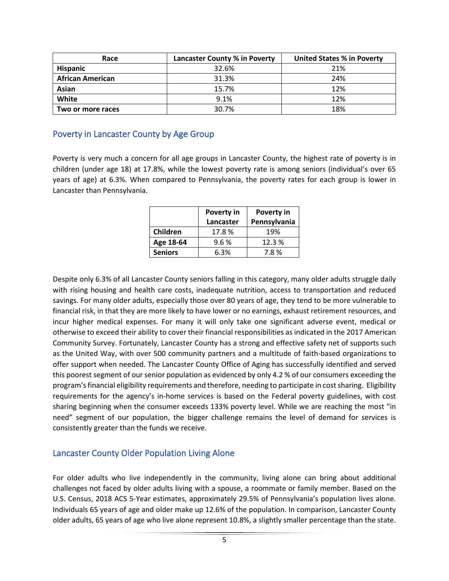| Race                    | Lancaster County % in Poverty | <b>United States % in Poverty</b> |
|-------------------------|-------------------------------|-----------------------------------|
| <b>Hispanic</b>         | 32.6%                         | 21%                               |
| <b>African American</b> | 31.3%                         | 24%                               |
| Asian                   | 15.7%                         | 12%                               |
| White                   | 9.1%                          | 12%                               |
| Two or more races       | 30.7%                         | 18%                               |

#### <span id="page-6-0"></span>Poverty in Lancaster County by Age Group

Poverty is very much a concern for all age groups in Lancaster County, the highest rate of poverty is in children (under age 18) at 17.8%, while the lowest poverty rate is among seniors (individual's over 65 years of age) at 6.3%. When compared to Pennsylvania, the poverty rates for each group is lower in Lancaster than Pennsylvania.

|                | Poverty in | Poverty in   |
|----------------|------------|--------------|
|                | Lancaster  | Pennsylvania |
| Children       | 17.8%      | 19%          |
| Age 18-64      | 9.6%       | 12.3 %       |
| <b>Seniors</b> | 6.3%       | 7.8%         |

Despite only 6.3% of all Lancaster County seniors falling in this category, many older adults struggle daily with rising housing and health care costs, inadequate nutrition, access to transportation and reduced savings. For many older adults, especially those over 80 years of age, they tend to be more vulnerable to financial risk, in that they are more likely to have lower or no earnings, exhaust retirement resources, and incur higher medical expenses. For many it will only take one significant adverse event, medical or otherwise to exceed their ability to cover their financial responsibilities as indicated in the 2017 American Community Survey. Fortunately, Lancaster County has a strong and effective safety net of supports such as the United Way, with over 500 community partners and a multitude of faith-based organizations to offer support when needed. The Lancaster County Office of Aging has successfully identified and served this poorest segment of our senior population as evidenced by only 4.2 % of our consumers exceeding the program's financial eligibility requirements and therefore, needing to participate in cost sharing. Eligibility requirements for the agency's in-home services is based on the Federal poverty guidelines, with cost sharing beginning when the consumer exceeds 133% poverty level. While we are reaching the most "in need" segment of our population, the bigger challenge remains the level of demand for services is consistently greater than the funds we receive.

#### <span id="page-6-1"></span>Lancaster County Older Population Living Alone

For older adults who live independently in the community, living alone can bring about additional challenges not faced by older adults living with a spouse, a roommate or family member. Based on the U.S. Census, 2018 ACS 5-Year estimates, approximately 29.5% of Pennsylvania's population lives alone. Individuals 65 years of age and older make up 12.6% of the population. In comparison, Lancaster County older adults, 65 years of age who live alone represent 10.8%, a slightly smaller percentage than the state.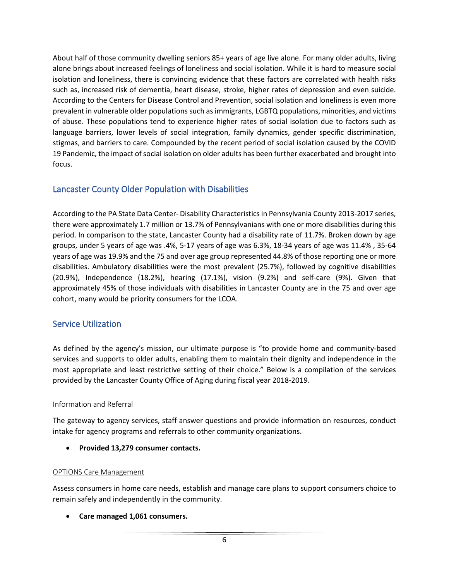About half of those community dwelling seniors 85+ years of age live alone. For many older adults, living alone brings about increased feelings of loneliness and social isolation. While it is hard to measure social isolation and loneliness, there is convincing evidence that these factors are correlated with health risks such as, increased risk of dementia, heart disease, stroke, higher rates of depression and even suicide. According to the Centers for Disease Control and Prevention, social isolation and loneliness is even more prevalent in vulnerable older populations such as immigrants, LGBTQ populations, minorities, and victims of abuse. These populations tend to experience higher rates of social isolation due to factors such as language barriers, lower levels of social integration, family dynamics, gender specific discrimination, stigmas, and barriers to care. Compounded by the recent period of social isolation caused by the COVID 19 Pandemic, the impact of social isolation on older adults has been further exacerbated and brought into focus.

### <span id="page-7-0"></span>Lancaster County Older Population with Disabilities

According to the PA State Data Center- Disability Characteristics in Pennsylvania County 2013-2017 series, there were approximately 1.7 million or 13.7% of Pennsylvanians with one or more disabilities during this period. In comparison to the state, Lancaster County had a disability rate of 11.7%. Broken down by age groups, under 5 years of age was .4%, 5-17 years of age was 6.3%, 18-34 years of age was 11.4% , 35-64 years of age was 19.9% and the 75 and over age group represented 44.8% of those reporting one or more disabilities. Ambulatory disabilities were the most prevalent (25.7%), followed by cognitive disabilities (20.9%), Independence (18.2%), hearing (17.1%), vision (9.2%) and self-care (9%). Given that approximately 45% of those individuals with disabilities in Lancaster County are in the 75 and over age cohort, many would be priority consumers for the LCOA.

### <span id="page-7-1"></span>Service Utilization

As defined by the agency's mission, our ultimate purpose is "to provide home and community-based services and supports to older adults, enabling them to maintain their dignity and independence in the most appropriate and least restrictive setting of their choice." Below is a compilation of the services provided by the Lancaster County Office of Aging during fiscal year 2018-2019.

#### Information and Referral

The gateway to agency services, staff answer questions and provide information on resources, conduct intake for agency programs and referrals to other community organizations.

• **Provided 13,279 consumer contacts.**

#### OPTIONS Care Management

Assess consumers in home care needs, establish and manage care plans to support consumers choice to remain safely and independently in the community.

• **Care managed 1,061 consumers.**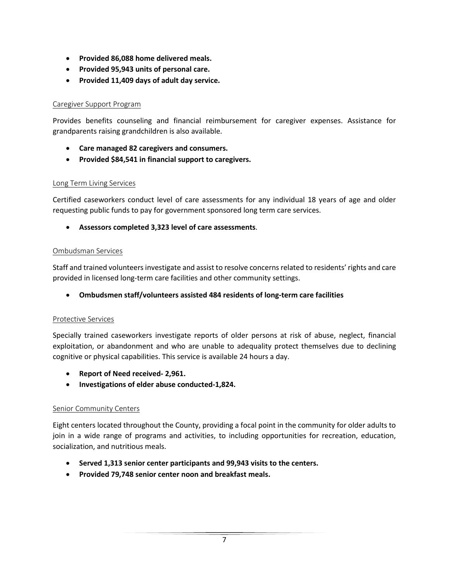- **Provided 86,088 home delivered meals.**
- **Provided 95,943 units of personal care.**
- **Provided 11,409 days of adult day service.**

#### Caregiver Support Program

Provides benefits counseling and financial reimbursement for caregiver expenses. Assistance for grandparents raising grandchildren is also available.

- **Care managed 82 caregivers and consumers.**
- **Provided \$84,541 in financial support to caregivers.**

#### Long Term Living Services

Certified caseworkers conduct level of care assessments for any individual 18 years of age and older requesting public funds to pay for government sponsored long term care services.

• **Assessors completed 3,323 level of care assessments**.

#### Ombudsman Services

Staff and trained volunteers investigate and assist to resolve concerns related to residents' rights and care provided in licensed long-term care facilities and other community settings.

• **Ombudsmen staff/volunteers assisted 484 residents of long-term care facilities** 

#### Protective Services

Specially trained caseworkers investigate reports of older persons at risk of abuse, neglect, financial exploitation, or abandonment and who are unable to adequality protect themselves due to declining cognitive or physical capabilities. This service is available 24 hours a day.

- **Report of Need received- 2,961.**
- **Investigations of elder abuse conducted-1,824.**

#### Senior Community Centers

Eight centers located throughout the County, providing a focal point in the community for older adults to join in a wide range of programs and activities, to including opportunities for recreation, education, socialization, and nutritious meals.

- **Served 1,313 senior center participants and 99,943 visits to the centers.**
- **Provided 79,748 senior center noon and breakfast meals.**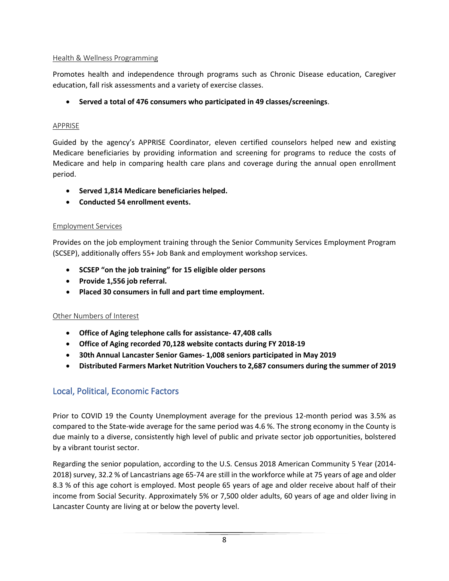#### Health & Wellness Programming

Promotes health and independence through programs such as Chronic Disease education, Caregiver education, fall risk assessments and a variety of exercise classes.

#### • **Served a total of 476 consumers who participated in 49 classes/screenings**.

#### APPRISE

Guided by the agency's APPRISE Coordinator, eleven certified counselors helped new and existing Medicare beneficiaries by providing information and screening for programs to reduce the costs of Medicare and help in comparing health care plans and coverage during the annual open enrollment period.

- **Served 1,814 Medicare beneficiaries helped.**
- **Conducted 54 enrollment events.**

#### Employment Services

Provides on the job employment training through the Senior Community Services Employment Program (SCSEP), additionally offers 55+ Job Bank and employment workshop services.

- **SCSEP "on the job training" for 15 eligible older persons**
- **Provide 1,556 job referral.**
- **Placed 30 consumers in full and part time employment.**

#### Other Numbers of Interest

- **Office of Aging telephone calls for assistance- 47,408 calls**
- **Office of Aging recorded 70,128 website contacts during FY 2018-19**
- **30th Annual Lancaster Senior Games- 1,008 seniors participated in May 2019**
- **Distributed Farmers Market Nutrition Vouchers to 2,687 consumers during the summer of 2019**

### <span id="page-9-0"></span>Local, Political, Economic Factors

Prior to COVID 19 the County Unemployment average for the previous 12-month period was 3.5% as compared to the State-wide average for the same period was 4.6 %. The strong economy in the County is due mainly to a diverse, consistently high level of public and private sector job opportunities, bolstered by a vibrant tourist sector.

Regarding the senior population, according to the U.S. Census 2018 American Community 5 Year (2014- 2018) survey, 32.2 % of Lancastrians age 65-74 are still in the workforce while at 75 years of age and older 8.3 % of this age cohort is employed. Most people 65 years of age and older receive about half of their income from Social Security. Approximately 5% or 7,500 older adults, 60 years of age and older living in Lancaster County are living at or below the poverty level.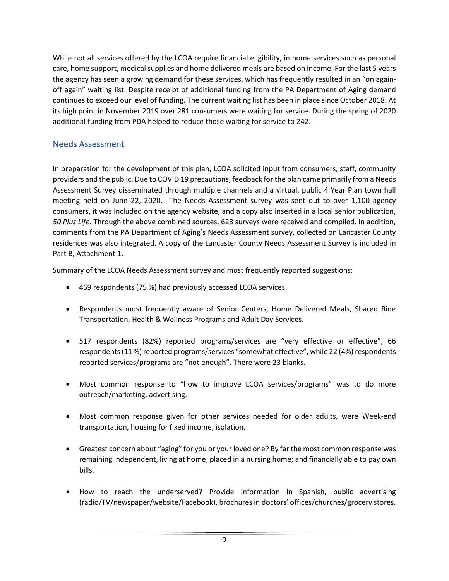While not all services offered by the LCOA require financial eligibility, in home services such as personal care, home support, medical supplies and home delivered meals are based on income. For the last 5 years the agency has seen a growing demand for these services, which has frequently resulted in an "on againoff again" waiting list. Despite receipt of additional funding from the PA Department of Aging demand continues to exceed our level of funding. The current waiting list has been in place since October 2018. At its high point in November 2019 over 281 consumers were waiting for service. During the spring of 2020 additional funding from PDA helped to reduce those waiting for service to 242.

### <span id="page-10-0"></span>Needs Assessment

In preparation for the development of this plan, LCOA solicited input from consumers, staff, community providers and the public. Due to COVID 19 precautions, feedback for the plan came primarily from a Needs Assessment Survey disseminated through multiple channels and a virtual, public 4 Year Plan town hall meeting held on June 22, 2020. The Needs Assessment survey was sent out to over 1,100 agency consumers, it was included on the agency website, and a copy also inserted in a local senior publication, *50 Plus Life*. Through the above combined sources, 628 surveys were received and compiled. In addition, comments from the PA Department of Aging's Needs Assessment survey, collected on Lancaster County residences was also integrated. A copy of the Lancaster County Needs Assessment Survey is included in Part B, Attachment 1.

Summary of the LCOA Needs Assessment survey and most frequently reported suggestions:

- 469 respondents (75 %) had previously accessed LCOA services.
- Respondents most frequently aware of Senior Centers, Home Delivered Meals, Shared Ride Transportation, Health & Wellness Programs and Adult Day Services.
- 517 respondents (82%) reported programs/services are "very effective or effective", 66 respondents (11 %) reported programs/services "somewhat effective", while 22 (4%) respondents reported services/programs are "not enough". There were 23 blanks.
- Most common response to "how to improve LCOA services/programs" was to do more outreach/marketing, advertising.
- Most common response given for other services needed for older adults, were Week-end transportation, housing for fixed income, isolation.
- Greatest concern about "aging" for you or your loved one? By far the most common response was remaining independent, living at home; placed in a nursing home; and financially able to pay own bills.
- How to reach the underserved? Provide information in Spanish, public advertising (radio/TV/newspaper/website/Facebook), brochures in doctors' offices/churches/grocery stores.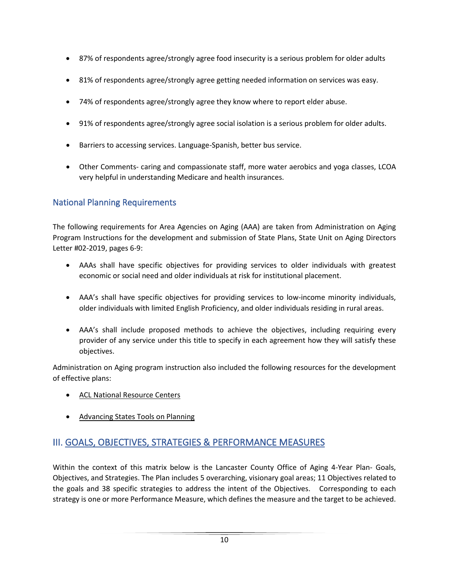- 87% of respondents agree/strongly agree food insecurity is a serious problem for older adults
- 81% of respondents agree/strongly agree getting needed information on services was easy.
- 74% of respondents agree/strongly agree they know where to report elder abuse.
- 91% of respondents agree/strongly agree social isolation is a serious problem for older adults.
- Barriers to accessing services. Language-Spanish, better bus service.
- Other Comments- caring and compassionate staff, more water aerobics and yoga classes, LCOA very helpful in understanding Medicare and health insurances.

### <span id="page-11-0"></span>National Planning Requirements

The following requirements for Area Agencies on Aging (AAA) are taken from Administration on Aging Program Instructions for the development and submission of State Plans, State Unit on Aging Directors Letter #02-2019, pages 6-9:

- AAAs shall have specific objectives for providing services to older individuals with greatest economic or social need and older individuals at risk for institutional placement.
- AAA's shall have specific objectives for providing services to low-income minority individuals, older individuals with limited English Proficiency, and older individuals residing in rural areas.
- AAA's shall include proposed methods to achieve the objectives, including requiring every provider of any service under this title to specify in each agreement how they will satisfy these objectives.

Administration on Aging program instruction also included the following resources for the development of effective plans:

- ACL National Resource Centers
- Advancing States Tools on Planning

# <span id="page-11-1"></span>III. GOALS, OBJECTIVES, STRATEGIES & PERFORMANCE MEASURES

Within the context of this matrix below is the Lancaster County Office of Aging 4-Year Plan- Goals, Objectives, and Strategies. The Plan includes 5 overarching, visionary goal areas; 11 Objectives related to the goals and 38 specific strategies to address the intent of the Objectives. Corresponding to each strategy is one or more Performance Measure, which defines the measure and the target to be achieved.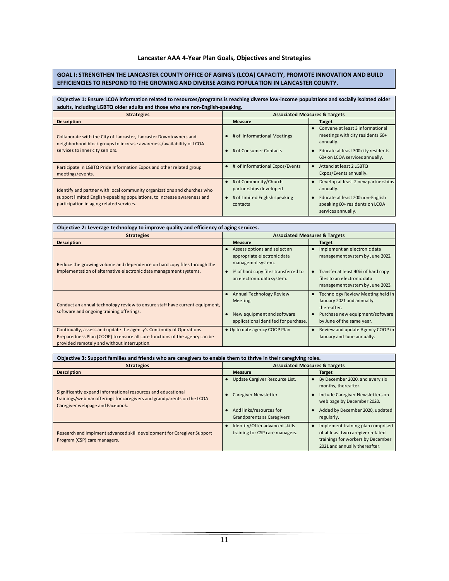#### **Lancaster AAA 4-Year Plan Goals, Objectives and Strategies**

#### **GOAL I: STRENGTHEN THE LANCASTER COUNTY OFFICE OF AGING's (LCOA) CAPACITY, PROMOTE INNOVATION AND BUILD EFFICIENCIES TO RESPOND TO THE GROWING AND DIVERSE AGING POPULATION IN LANCASTER COUNTY.**

**Strategies Description Measure Target** ● # of Informational Meetings ● Convene at least 3 informational meetings with city residents 60+ annually. # of Consumer Contacts **example 5** Educate at least 300 city residents 60+ on LCOA services annually. Participate in LGBTQ Pride Information Expos and other related group meetings/events. ● # of Informational Expos/Events |● Attend at least 2 LGBTQ Expos/Events annually. ● # of Community/Church partnerships developed ● Develop at least 2 new partnerships annually. ● # of Limited English speaking ● Educate at least 200 non-English **Objective 1: Ensure LCOA information related to resources/programs is reaching diverse low-income populations and socially isolated older adults, including LGBTQ older adults and those who are non-English-speaking. Associated Measures & Targets** Collaborate with the City of Lancaster, Lancaster Downtowners and neighborhood block groups to increase awareness/availability of LCOA services to inner city seniors. Identify and partner with local community organizations and churches who support limited English-speaking populations, to increase awareness and

participation in aging related services.

contacts

speaking 60+ residents on LCOA

services annually.

| Objective 2: Leverage technology to improve quality and efficiency of aging services.                                                                                                             |                                                                                                                                                           |                                                                                                                                                     |  |  |
|---------------------------------------------------------------------------------------------------------------------------------------------------------------------------------------------------|-----------------------------------------------------------------------------------------------------------------------------------------------------------|-----------------------------------------------------------------------------------------------------------------------------------------------------|--|--|
| <b>Strategies</b>                                                                                                                                                                                 | <b>Associated Measures &amp; Targets</b>                                                                                                                  |                                                                                                                                                     |  |  |
| <b>Description</b>                                                                                                                                                                                | <b>Measure</b>                                                                                                                                            | Target                                                                                                                                              |  |  |
| Reduce the growing volume and dependence on hard copy files through the<br>implementation of alternative electronic data management systems.                                                      | • Assess options and select an<br>appropriate electronic data<br>managemnt system.<br>• % of hard copy files transferred to<br>an electronic data system. | Implement an electronic data<br>$\bullet$<br>management system by June 2022.<br>• Transfer at least 40% of hard copy<br>files to an electronic data |  |  |
|                                                                                                                                                                                                   |                                                                                                                                                           | management system by June 2023.                                                                                                                     |  |  |
| Conduct an annual technology review to ensure staff have current equipment,<br>software and ongoing training offerings.                                                                           | • Annual Technology Review<br>Meeting.<br>New equipment and software<br>applications identifed for purchase.                                              | • Technology Review Meeting held in<br>January 2021 and annually<br>thereafter.<br>• Purchase new equipment/software<br>by June of the same year.   |  |  |
| Continually, assess and update the agency's Continuity of Operations<br>Preparedness Plan (COOP) to ensure all core functions of the agency can be<br>provided remotely and without interruption. | • Up to date agency COOP Plan                                                                                                                             | Review and update Agency COOP in<br>January and June annually.                                                                                      |  |  |

| Objective 3: Support families and friends who are caregivers to enable them to thrive in their caregiving roles.                                                           |                                                                                                                               |                                                                                                                                                                           |  |  |
|----------------------------------------------------------------------------------------------------------------------------------------------------------------------------|-------------------------------------------------------------------------------------------------------------------------------|---------------------------------------------------------------------------------------------------------------------------------------------------------------------------|--|--|
| <b>Strategies</b>                                                                                                                                                          | <b>Associated Measures &amp; Targets</b>                                                                                      |                                                                                                                                                                           |  |  |
| <b>Description</b>                                                                                                                                                         | <b>Measure</b>                                                                                                                | <b>Target</b>                                                                                                                                                             |  |  |
| Significantly expand informational resources and educational<br>trainings/webinar offerings for caregivers and grandparents on the LCOA<br>Caregiver webpage and Facebook. | Update Cargiver Resource List.<br><b>Caregiver Newsletter</b><br>Add links/resources for<br><b>Grandparents as Caregivers</b> | By December 2020, and every six<br>months, thereafter.<br>Include Caregiver Newsletters on<br>web page by December 2020.<br>Added by December 2020, updated<br>regularly. |  |  |
| Research and implment advanced skill development for Caregiver Support<br>Program (CSP) care managers.                                                                     | Identify/Offer advanced skills<br>training for CSP care managers.                                                             | Implement training plan comprised<br>of at least two caregiver related<br>trainings for workers by December<br>2021 and annually thereafter.                              |  |  |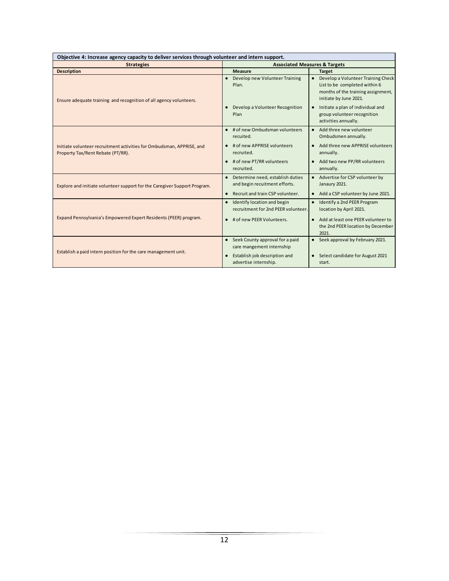| Objective 4: Increase agency capacity to deliver services through volunteer and intern support.            |                                                                      |                                                                                                                                     |  |  |
|------------------------------------------------------------------------------------------------------------|----------------------------------------------------------------------|-------------------------------------------------------------------------------------------------------------------------------------|--|--|
| <b>Strategies</b>                                                                                          | <b>Associated Measures &amp; Targets</b>                             |                                                                                                                                     |  |  |
| <b>Description</b>                                                                                         | <b>Measure</b>                                                       | <b>Target</b>                                                                                                                       |  |  |
| Ensure adequate training and recognition of all agency volunteers.                                         | • Develop new Volunteer Training<br>Plan.                            | Develop a Volunteer Training Check<br>List to be completed within 6<br>months of the training assignment,<br>initiate by June 2021. |  |  |
|                                                                                                            | Develop a Volunteer Recognition<br>Plan                              | Initiate a plan of individual and<br>group volunteer recognition<br>activities annually.                                            |  |  |
|                                                                                                            | • # of new Ombudsman volunteers<br>recuited.                         | • Add three new volunteer<br>Ombudsmen annually.                                                                                    |  |  |
| Initiate volunteer recruitment activities for Ombudsman, APPRISE, and<br>Property Tax/Rent Rebate (PT/RR). | • # of new APPRISE volunteers<br>recruited.                          | • Add three new APPRISE volunteers<br>annually.                                                                                     |  |  |
|                                                                                                            | • # of new PT/RR volunteers<br>recruited.                            | • Add two new PP/RR volunteers<br>annually.                                                                                         |  |  |
| Explore and initiate volunteer support for the Caregiver Support Program.                                  | • Determine need, establish duties<br>and begin recuitment efforts.  | • Advertise for CSP volunteer by<br>Janaury 2021.                                                                                   |  |  |
|                                                                                                            | Recruit and train CSP volunteer.<br>$\bullet$                        | • Add a CSP volunteer by June 2021.                                                                                                 |  |  |
|                                                                                                            | • Identify location and begin<br>recruitment for 2nd PEER volunteer. | Identify a 2nd PEER Program<br>$\bullet$<br>location by April 2021.                                                                 |  |  |
| Expand Pennsylvania's Empowered Expert Residents (PEER) program.                                           | • # of new PEER Volunteers.                                          | • Add at least one PEER volunteer to<br>the 2nd PEER location by December<br>2021.                                                  |  |  |
| Establish a paid intern position for the care management unit.                                             | • Seek County approval for a paid<br>care mangement internship       | • Seek approval by February 2021.                                                                                                   |  |  |
|                                                                                                            | Establish job description and<br>$\bullet$<br>advertise internship.  | • Select candidate for August 2021<br>start.                                                                                        |  |  |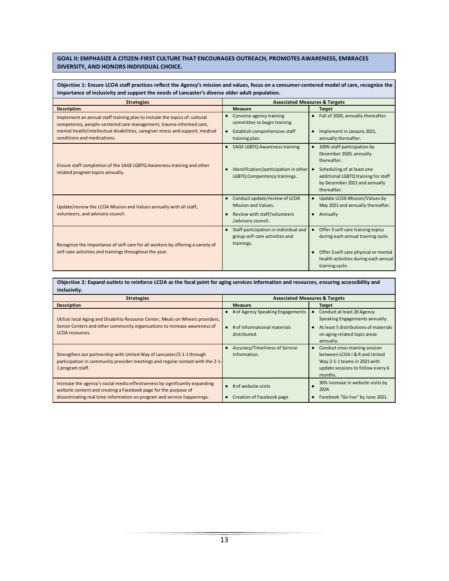#### **GOAL II: EMPHASIZE A CITIZEN-FIRST CULTURE THAT ENCOURAGES OUTREACH, PROMOTES AWARENESS, EMBRACES DIVERSITY, AND HONORS INDIVIDUAL CHOICE.**

**Objective 1: Ensure LCOA staff practices reflect the Agency's mission and values, focus on a consumer-centered model of care, recognize the importance of inclusivity and support the needs of Lancaster's diverse older adult population.**

| <b>Strategies</b>                                                                                                                                                                                                                                                 | <b>Associated Measures &amp; Targets</b>                                                                                   |                                                                                                                                                                                                                                 |  |
|-------------------------------------------------------------------------------------------------------------------------------------------------------------------------------------------------------------------------------------------------------------------|----------------------------------------------------------------------------------------------------------------------------|---------------------------------------------------------------------------------------------------------------------------------------------------------------------------------------------------------------------------------|--|
| <b>Description</b>                                                                                                                                                                                                                                                | <b>Measure</b>                                                                                                             | <b>Target</b>                                                                                                                                                                                                                   |  |
| Implement an annual staff training plan to include the topics of: cultural<br>competency, people-centered care management, trauma informed care,<br>mental health/intellectual disabilities, caregiver stress and support, medical<br>conditions and medications. | Convene agency training<br>$\bullet$<br>committee to begin training<br>• Establish comprehensive staff                     | Fall of 2020, annually thereafter.<br>$\bullet$<br>Implement in Janaury 2021,<br>$\bullet$                                                                                                                                      |  |
| Ensure staff completion of the SAGE LGBTQ Awareness training and other<br>related program topics annually.                                                                                                                                                        | training plan.<br>• SAGE LGBTQ Awareness training<br>Identification/participation in other<br>LGBTQ Compentency trainings. | annually thereafter.<br>100% staff participation by<br>$\bullet$<br>December 2020, annually<br>thereafter.<br>Scheduling of at least one<br>additional LGBTQ training for staff<br>by December 2021 and annually<br>thereafter. |  |
| Update/review the LCOA Mission and Values annually with all staff,<br>volunteers, and advisory council.                                                                                                                                                           | Conduct update/review of LCOA<br>$\bullet$<br>Mission and Values.<br>Review with staff/volunteers<br>/advisory council.    | • Update LCOA Mission/Values by<br>May 2021 and annually thereafter.<br>• Annually                                                                                                                                              |  |
| Recognize the importance of self-care for all workers by offering a variety of<br>self-care activities and trainings throughout the year.                                                                                                                         | Staff participation in individual and<br>$\bullet$<br>group self-care activities and<br>trainings.                         | Offer 3 self-care training topics<br>$\bullet$<br>during each annual training cycle.<br>Offer 3 self-care physical or mental<br>health activities during each annual<br>training cycle.                                         |  |

**Objective 2: Expand outlets to reinforce LCOA as the focal point for aging services information and resources, ensuring accessibility and inclusivity.**

| <b>Strategies</b>                                                                                                                                                                                                        | <b>Associated Measures &amp; Targets</b>                                                     |                                                                                                                                                    |  |
|--------------------------------------------------------------------------------------------------------------------------------------------------------------------------------------------------------------------------|----------------------------------------------------------------------------------------------|----------------------------------------------------------------------------------------------------------------------------------------------------|--|
| <b>Description</b>                                                                                                                                                                                                       | <b>Measure</b>                                                                               | <b>Target</b>                                                                                                                                      |  |
| Utilize local Aging and Disability Resource Center, Meals on Wheels providers,<br>Senior Centers and other community organizations to increase awareness of<br>LCOA resources.                                           | • # of Agency Speaking Engagements<br>$\bullet$ # of Informational materials<br>distributed. | Conduct at least 20 Agency<br>Speaking Engagements annually.<br>At least 5 distributions of materials<br>on aging related topic areas<br>annually. |  |
| Strengthen our partnership with United Way of Lancaster/2-1-1 through<br>participation in community provider meetings and regular contact with the 2-1-<br>1 program staff.                                              | • Accuracy/Timeliness of Service<br>Information.                                             | Conduct cross training session<br>between LCOA   & R and United<br>Way 2-1-1 teams in 2021 with<br>update sessions to follow every 6<br>months.    |  |
| Increase the agency's social media effectiveness by significantly expanding<br>website content and creating a Facebook page for the purpose of<br>disseminating real time information on program and service happenings. | $\bullet$ # of website visits<br>Creation of Facebook page                                   | 30% increase in website visits by<br>2024.<br>Facebook "Go live" by June 2021.                                                                     |  |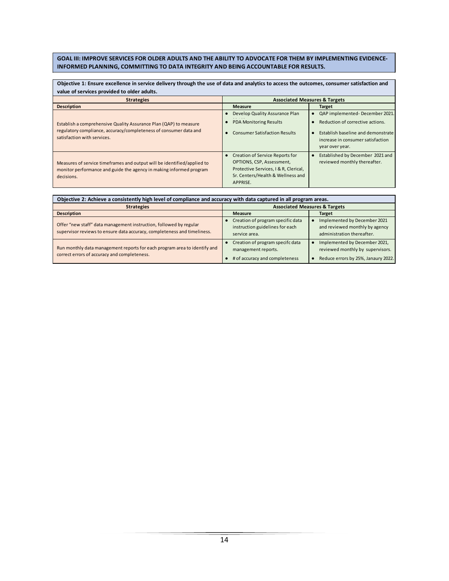#### **GOAL III: IMPROVE SERVICES FOR OLDER ADULTS AND THE ABILITY TO ADVOCATE FOR THEM BY IMPLEMENTING EVIDENCE-INFORMED PLANNING, COMMITTING TO DATA INTEGRITY AND BEING ACCOUNTABLE FOR RESULTS.**

**Objective 1: Ensure excellence in service delivery through the use of data and analytics to access the outcomes, consumer satisfaction and value of services provided to older adults.**

| <b>Strategies</b>                                                                                                                                                     | <b>Associated Measures &amp; Targets</b>                                                                                                                        |                                                                                                                                                                                 |  |  |
|-----------------------------------------------------------------------------------------------------------------------------------------------------------------------|-----------------------------------------------------------------------------------------------------------------------------------------------------------------|---------------------------------------------------------------------------------------------------------------------------------------------------------------------------------|--|--|
| <b>Description</b>                                                                                                                                                    | <b>Measure</b>                                                                                                                                                  | <b>Target</b>                                                                                                                                                                   |  |  |
| Establish a comprehensive Quality Assurance Plan (QAP) to measure<br>regulatory compliance, accuracy/completeness of consumer data and<br>satisfaction with services. | Develop Quality Assurance Plan<br><b>PDA Monitoring Results</b><br><b>Consumer Satisfaction Results</b>                                                         | • QAP implemented-December 2021.<br>Reduction of corrective actions.<br>$\bullet$<br>Establish baseline and demonstrate<br>increase in consumer satisfaction<br>year over year. |  |  |
| Measures of service timeframes and output will be identified/applied to<br>monitor performance and guide the agency in making informed program<br>decisions.          | • Creation of Service Reports for<br>OPTIONS, CSP, Assessment,<br>Protective Services, I & R, Clerical,<br>Sr. Centers/Health & Wellness and<br><b>APPRISE.</b> | Established by December 2021 and<br>reviewed monthly thereafter.                                                                                                                |  |  |

| Objective 2: Achieve a consistently high level of compliance and accuracy with data captured in all program areas.                             |                                                                                             |                                                                                                          |  |
|------------------------------------------------------------------------------------------------------------------------------------------------|---------------------------------------------------------------------------------------------|----------------------------------------------------------------------------------------------------------|--|
| <b>Strategies</b>                                                                                                                              | <b>Associated Measures &amp; Targets</b>                                                    |                                                                                                          |  |
| <b>Description</b>                                                                                                                             | <b>Measure</b>                                                                              | <b>Target</b>                                                                                            |  |
| Offer "new staff" data management instruction, followed by regular<br>supervisor reviews to ensure data accuracy, completeness and timeliness. | • Creation of program specific data<br>instruction guidelines for each<br>service area.     | Implemented by December 2021<br>and reviewed monthly by agency<br>administration thereafter.             |  |
| Run monthly data management reports for each program area to identify and<br>correct errors of accuracy and completeness.                      | • Creation of program specifc data<br>management reports.<br># of accuracy and completeness | Implemented by December 2021,<br>reviewed monthly by supervisors.<br>Reduce errors by 25%, Janaury 2022. |  |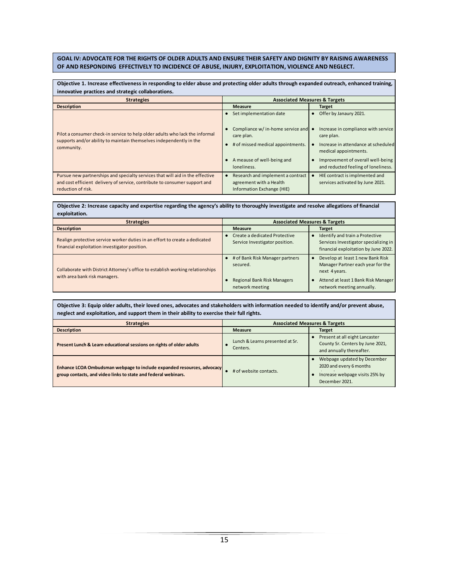#### **GOAL IV: ADVOCATE FOR THE RIGHTS OF OLDER ADULTS AND ENSURE THEIR SAFETY AND DIGNITY BY RAISING AWARENESS OF AND RESPONDING EFFECTIVELY TO INCIDENCE OF ABUSE, INJURY, EXPLOITATION, VIOLENCE AND NEGLECT.**

| Objective 1. Increase effectiveness in responding to elder abuse and protecting older adults through expanded outreach, enhanced training,                                        |                                                                                                                   |                                                                                                                                                          |  |  |  |
|-----------------------------------------------------------------------------------------------------------------------------------------------------------------------------------|-------------------------------------------------------------------------------------------------------------------|----------------------------------------------------------------------------------------------------------------------------------------------------------|--|--|--|
| innovative practices and strategic collaborations.                                                                                                                                |                                                                                                                   |                                                                                                                                                          |  |  |  |
| <b>Strategies</b>                                                                                                                                                                 | <b>Associated Measures &amp; Targets</b>                                                                          |                                                                                                                                                          |  |  |  |
| <b>Description</b>                                                                                                                                                                | <b>Measure</b>                                                                                                    | <b>Target</b>                                                                                                                                            |  |  |  |
| Pilot a consumer check-in service to help older adults who lack the informal<br>supports and/or ability to maintain themselves independently in the<br>community.                 | • Set implementation date<br>Compliance w/ in-home service and<br>care plan.<br># of missed medical appointments. | Offer by Janaury 2021.<br>$\bullet$<br>Increase in compliance with service<br>care plan.<br>Increase in attendance at scheduled<br>medical appointments. |  |  |  |
|                                                                                                                                                                                   | A meause of well-being and<br>loneliness.                                                                         | Improvement of overall well-being<br>and reducted feeling of loneliness.                                                                                 |  |  |  |
| Pursue new partnerships and specialty services that will aid in the effective<br>and cost efficient delivery of service, contribute to consumer support and<br>reduction of risk. | Research and implement a contract<br>agreement with a Health<br>Information Exchange (HIE)                        | HIE contract is implmented and<br>services activated by June 2021.                                                                                       |  |  |  |

**Strategies Description Measure Target** Realign protective service worker duties in an effort to create a dedicated financial exploitation investigator position. ● Create a dedicated Protective Service Investigator position. ● Identify and train a Protective Services Investigator specializing in financial exploitation by June 2022. ● # of Bank Risk Manager partners secured. ● Develop at least 1 new Bank Risk Manager Partner each year for the next 4 years. ● Regional Bank Risk Managers network meeting ● Attend at least 1 Bank Risk Manager network meeting annually. **Associated Measures & Targets Objective 2: Increase capacity and expertise regarding the agency's ability to thoroughly investigate and resolve allegations of financial exploitation.** Collaborate with District Attorney's office to establish working relationships with area bank risk managers.

| Objective 3: Equip older adults, their loved ones, advocates and stakeholders with information needed to identify and/or prevent abuse,<br>neglect and exploitation, and support them in their ability to exercise their full rights. |                                             |                                                                                                            |  |  |  |
|---------------------------------------------------------------------------------------------------------------------------------------------------------------------------------------------------------------------------------------|---------------------------------------------|------------------------------------------------------------------------------------------------------------|--|--|--|
| <b>Strategies</b>                                                                                                                                                                                                                     | <b>Associated Measures &amp; Targets</b>    |                                                                                                            |  |  |  |
| <b>Description</b>                                                                                                                                                                                                                    | <b>Measure</b>                              | <b>Target</b>                                                                                              |  |  |  |
| Present Lunch & Learn educational sessions on rights of older adults                                                                                                                                                                  | Lunch & Learns presented at Sr.<br>Centers. | Present at all eight Lancaster<br>County Sr. Centers by June 2021,<br>and annually thereafter.             |  |  |  |
| Enhance LCOA Ombudsman webpage to include expanded resources, advocacy<br>group contacts, and video links to state and federal webinars.                                                                                              | # of website contacts.                      | Webpage updated by December<br>2020 and every 6 months<br>Increase webpage visits 25% by<br>December 2021. |  |  |  |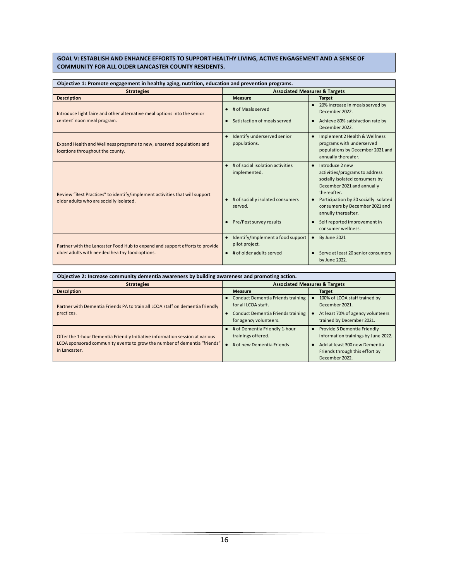#### **GOAL V: ESTABLISH AND ENHANCE EFFORTS TO SUPPORT HEALTHY LIVING, ACTIVE ENGAGEMENT AND A SENSE OF COMMUNITY FOR ALL OLDER LANCASTER COUNTY RESIDENTS.**

| Objective 1: Promote engagement in healthy aging, nutrition, education and prevention programs.                                |                                                                                                                                                     |                                                                                                                                                                                                                                                                                                                                 |  |
|--------------------------------------------------------------------------------------------------------------------------------|-----------------------------------------------------------------------------------------------------------------------------------------------------|---------------------------------------------------------------------------------------------------------------------------------------------------------------------------------------------------------------------------------------------------------------------------------------------------------------------------------|--|
| <b>Strategies</b>                                                                                                              | <b>Associated Measures &amp; Targets</b>                                                                                                            |                                                                                                                                                                                                                                                                                                                                 |  |
| <b>Description</b>                                                                                                             | <b>Measure</b>                                                                                                                                      | <b>Target</b>                                                                                                                                                                                                                                                                                                                   |  |
| Introduce light faire and other alternative meal options into the senior<br>centers' noon meal program.                        | $\bullet$ # of Meals served<br>• Satisfaction of meals served                                                                                       | • 20% increase in meals served by<br>December 2022.<br>• Achieve 80% satisfaction rate by<br>December 2022.                                                                                                                                                                                                                     |  |
| Expand Health and Wellness programs to new, unserved populations and<br>locations throughout the county.                       | • Identify underserved senior<br>populations.                                                                                                       | Implement 2 Health & Wellness<br>$\bullet$<br>programs with underserved<br>populations by December 2021 and<br>annually thereafer.                                                                                                                                                                                              |  |
| Review "Best Practices" to identify/implement activities that will support<br>older adults who are socially isolated.          | $\bullet$ # of social isolation activities<br>implemented.<br>• # of socially isolated consumers<br>served.<br>Pre/Post survey results<br>$\bullet$ | Introduce 2 new<br>$\bullet$<br>activities/programs to address<br>socially isolated consumers by<br>December 2021 and annually<br>thereafter.<br>Participation by 30 socially isolated<br>$\bullet$<br>consumers by December 2021 and<br>annully thereafter.<br>Self reported improvement in<br>$\bullet$<br>consumer wellness. |  |
| Partner with the Lancaster Food Hub to expand and support efforts to provide<br>older adults with needed healthy food options. | Identify/Implement a food support<br>pilot project.<br>$\bullet$ # of older adults served                                                           | <b>By June 2021</b><br>Serve at least 20 senior consumers<br>by June 2022.                                                                                                                                                                                                                                                      |  |

| Objective 2: Increase community dementia awareness by building awareness and promoting action.                                                                            |                                                                                                                                               |                                                                                                                                                                      |  |  |
|---------------------------------------------------------------------------------------------------------------------------------------------------------------------------|-----------------------------------------------------------------------------------------------------------------------------------------------|----------------------------------------------------------------------------------------------------------------------------------------------------------------------|--|--|
| <b>Strategies</b>                                                                                                                                                         | <b>Associated Measures &amp; Targets</b>                                                                                                      |                                                                                                                                                                      |  |  |
| <b>Description</b>                                                                                                                                                        | <b>Measure</b>                                                                                                                                | <b>Target</b>                                                                                                                                                        |  |  |
| Partner with Dementia Friends PA to train all LCOA staff on dementia friendly<br>practices.                                                                               | <b>Conduct Dementia Friends training</b><br>$\bullet$<br>for all LCOA staff.<br>• Conduct Dementia Friends training<br>for agency volunteers. | 100% of LCOA staff trained by<br>December 2021.<br>At least 70% of agency volunteers<br>trained by December 2021.                                                    |  |  |
| Offer the 1-hour Dementia Friendly Initiative information session at various<br>LCOA sponsored community events to grow the number of dementia "friends"<br>in Lancaster. | • # of Dementia Friendly 1-hour<br>trainings offered.<br># of new Dementia Friends                                                            | Provide 3 Dementia Friendly<br>$\bullet$<br>information trainings by June 2022.<br>Add at least 300 new Dementia<br>Friends through this effort by<br>December 2022. |  |  |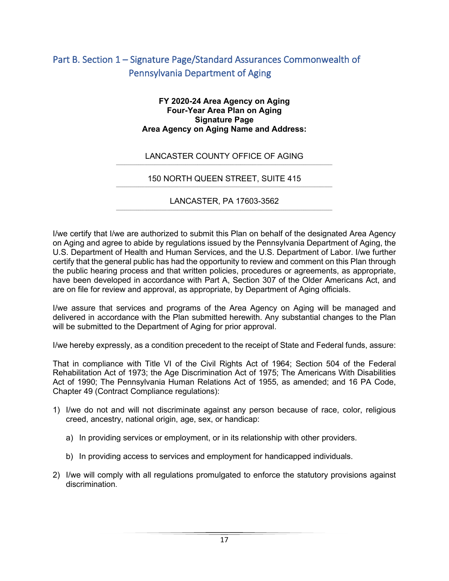# <span id="page-18-0"></span>Part B. Section 1 – Signature Page/Standard Assurances Commonwealth of Pennsylvania Department of Aging

#### **FY 2020-24 Area Agency on Aging Four-Year Area Plan on Aging Signature Page Area Agency on Aging Name and Address:**

#### LANCASTER COUNTY OFFICE OF AGING

#### 150 NORTH QUEEN STREET, SUITE 415 \_\_\_\_\_\_\_\_\_\_\_\_\_\_\_\_\_\_\_\_\_\_\_\_\_\_\_\_\_\_\_\_\_\_\_\_\_\_\_\_\_\_\_\_\_\_\_\_\_\_\_\_\_\_\_\_\_\_\_\_\_\_\_\_\_\_\_\_\_\_\_\_\_\_\_\_\_\_\_\_\_\_\_\_\_\_\_\_\_\_\_\_\_\_\_\_\_\_\_\_\_\_\_\_\_\_

#### LANCASTER, PA 17603-3562 \_\_\_\_\_\_\_\_\_\_\_\_\_\_\_\_\_\_\_\_\_\_\_\_\_\_\_\_\_\_\_\_\_\_\_\_\_\_\_\_\_\_\_\_\_\_\_\_\_\_\_\_\_\_\_\_\_\_\_\_\_\_\_\_\_\_\_\_\_\_\_\_\_\_\_\_\_\_\_\_\_\_\_\_\_\_\_\_\_\_\_\_\_\_\_\_\_\_\_\_\_\_\_\_\_\_

I/we certify that I/we are authorized to submit this Plan on behalf of the designated Area Agency on Aging and agree to abide by regulations issued by the Pennsylvania Department of Aging, the U.S. Department of Health and Human Services, and the U.S. Department of Labor. I/we further certify that the general public has had the opportunity to review and comment on this Plan through the public hearing process and that written policies, procedures or agreements, as appropriate, have been developed in accordance with Part A, Section 307 of the Older Americans Act, and are on file for review and approval, as appropriate, by Department of Aging officials.

I/we assure that services and programs of the Area Agency on Aging will be managed and delivered in accordance with the Plan submitted herewith. Any substantial changes to the Plan will be submitted to the Department of Aging for prior approval.

I/we hereby expressly, as a condition precedent to the receipt of State and Federal funds, assure:

That in compliance with Title VI of the Civil Rights Act of 1964; Section 504 of the Federal Rehabilitation Act of 1973; the Age Discrimination Act of 1975; The Americans With Disabilities Act of 1990; The Pennsylvania Human Relations Act of 1955, as amended; and 16 PA Code, Chapter 49 (Contract Compliance regulations):

- 1) I/we do not and will not discriminate against any person because of race, color, religious creed, ancestry, national origin, age, sex, or handicap:
	- a) In providing services or employment, or in its relationship with other providers.
	- b) In providing access to services and employment for handicapped individuals.
- 2) I/we will comply with all regulations promulgated to enforce the statutory provisions against discrimination.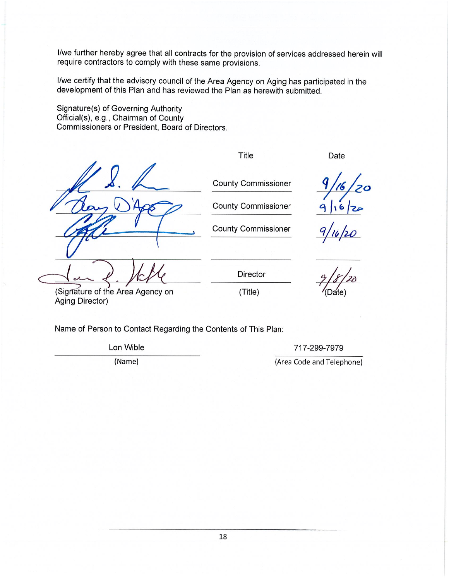I/we further hereby agree that all contracts for the provision of services addressed herein will require contractors to comply with these same provisions.

I/we certify that the advisory council of the Area Agency on Aging has participated in the development of this Plan and has reviewed the Plan as herewith submitted.

Signature(s) of Governing Authority Official(s), e.g., Chairman of County Commissioners or President, Board of Directors.

**County Commissioner** 

Title

**County Commissioner** 

**County Commissioner** 

Director (Title)

Date

Date)

(Signature of the Area Agency on Aging Director)

Name of Person to Contact Regarding the Contents of This Plan:

Lon Wible

(Name)

717-299-7979 (Area Code and Telephone)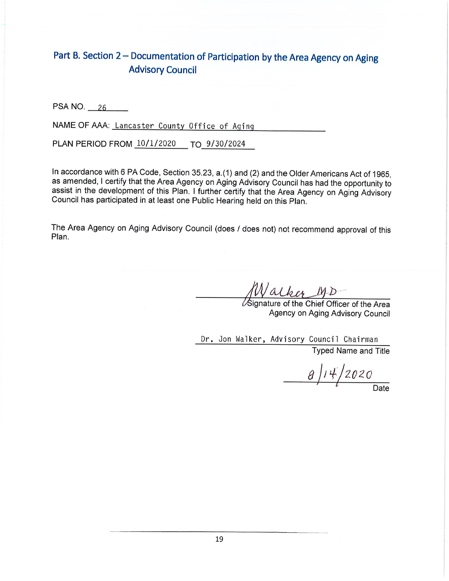# Part B. Section 2 - Documentation of Participation by the Area Agency on Aging **Advisory Council**

PSA NO. 26

NAME OF AAA: Lancaster County Office of Aging

PLAN PERIOD FROM 10/1/2020 TO 9/30/2024

In accordance with 6 PA Code, Section 35.23, a.(1) and (2) and the Older Americans Act of 1965, as amended, I certify that the Area Agency on Aging Advisory Council has had the opportunity to assist in the development of this Plan. I further certify that the Area Agency on Aging Advisory Council has participated in at least one Public Hearing held on this Plan.

The Area Agency on Aging Advisory Council (does / does not) not recommend approval of this Plan.

alker MD

ture of the Chief Officer of the Area Agency on Aging Advisory Council

Dr. Jon Walker, Advisory Council Chairman **Typed Name and Title** 

 $8/14/2020$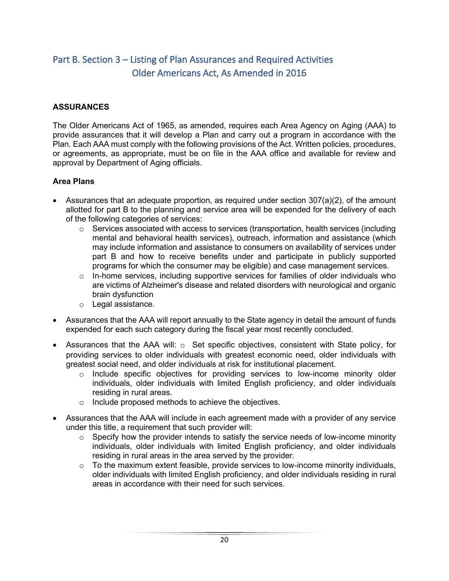# Part B. Section 3 – Listing of Plan Assurances and Required Activities Older Americans Act, As Amended in 2016

### **ASSURANCES**

The Older Americans Act of 1965, as amended, requires each Area Agency on Aging (AAA) to provide assurances that it will develop a Plan and carry out a program in accordance with the Plan. Each AAA must comply with the following provisions of the Act. Written policies, procedures, or agreements, as appropriate, must be on file in the AAA office and available for review and approval by Department of Aging officials.

#### **Area Plans**

- Assurances that an adequate proportion, as required under section  $307(a)(2)$ , of the amount allotted for part B to the planning and service area will be expended for the delivery of each of the following categories of services:
	- o Services associated with access to services (transportation, health services (including mental and behavioral health services), outreach, information and assistance (which may include information and assistance to consumers on availability of services under part B and how to receive benefits under and participate in publicly supported programs for which the consumer may be eligible) and case management services.
	- o In-home services, including supportive services for families of older individuals who are victims of Alzheimer's disease and related disorders with neurological and organic brain dysfunction
	- o Legal assistance.
- Assurances that the AAA will report annually to the State agency in detail the amount of funds expended for each such category during the fiscal year most recently concluded.
- Assurances that the AAA will: o Set specific objectives, consistent with State policy, for providing services to older individuals with greatest economic need, older individuals with greatest social need, and older individuals at risk for institutional placement.
	- o Include specific objectives for providing services to low-income minority older individuals, older individuals with limited English proficiency, and older individuals residing in rural areas.
	- o Include proposed methods to achieve the objectives.
- Assurances that the AAA will include in each agreement made with a provider of any service under this title, a requirement that such provider will:
	- $\circ$  Specify how the provider intends to satisfy the service needs of low-income minority individuals, older individuals with limited English proficiency, and older individuals residing in rural areas in the area served by the provider.
	- $\circ$  To the maximum extent feasible, provide services to low-income minority individuals, older individuals with limited English proficiency, and older individuals residing in rural areas in accordance with their need for such services.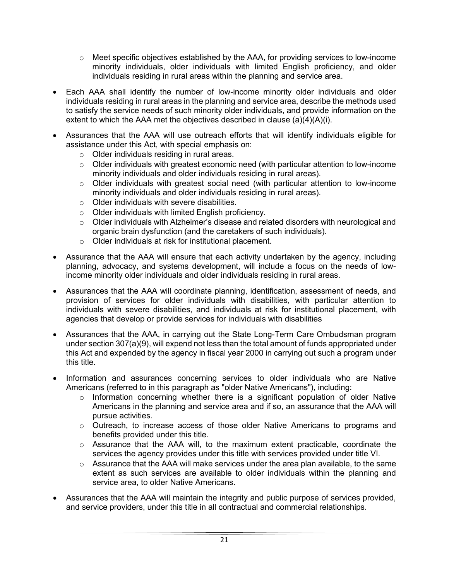- $\circ$  Meet specific objectives established by the AAA, for providing services to low-income minority individuals, older individuals with limited English proficiency, and older individuals residing in rural areas within the planning and service area.
- Each AAA shall identify the number of low-income minority older individuals and older individuals residing in rural areas in the planning and service area, describe the methods used to satisfy the service needs of such minority older individuals, and provide information on the extent to which the AAA met the objectives described in clause (a)(4)(A)(i).
- Assurances that the AAA will use outreach efforts that will identify individuals eligible for assistance under this Act, with special emphasis on:
	- o Older individuals residing in rural areas.
	- o Older individuals with greatest economic need (with particular attention to low-income minority individuals and older individuals residing in rural areas).
	- o Older individuals with greatest social need (with particular attention to low-income minority individuals and older individuals residing in rural areas).
	- o Older individuals with severe disabilities.
	- o Older individuals with limited English proficiency.
	- o Older individuals with Alzheimer's disease and related disorders with neurological and organic brain dysfunction (and the caretakers of such individuals).
	- o Older individuals at risk for institutional placement.
- Assurance that the AAA will ensure that each activity undertaken by the agency, including planning, advocacy, and systems development, will include a focus on the needs of lowincome minority older individuals and older individuals residing in rural areas.
- Assurances that the AAA will coordinate planning, identification, assessment of needs, and provision of services for older individuals with disabilities, with particular attention to individuals with severe disabilities, and individuals at risk for institutional placement, with agencies that develop or provide services for individuals with disabilities
- Assurances that the AAA, in carrying out the State Long-Term Care Ombudsman program under section 307(a)(9), will expend not less than the total amount of funds appropriated under this Act and expended by the agency in fiscal year 2000 in carrying out such a program under this title.
- Information and assurances concerning services to older individuals who are Native Americans (referred to in this paragraph as "older Native Americans"), including:
	- $\circ$  Information concerning whether there is a significant population of older Native Americans in the planning and service area and if so, an assurance that the AAA will pursue activities.
	- o Outreach, to increase access of those older Native Americans to programs and benefits provided under this title.
	- o Assurance that the AAA will, to the maximum extent practicable, coordinate the services the agency provides under this title with services provided under title VI.
	- $\circ$  Assurance that the AAA will make services under the area plan available, to the same extent as such services are available to older individuals within the planning and service area, to older Native Americans.
- Assurances that the AAA will maintain the integrity and public purpose of services provided, and service providers, under this title in all contractual and commercial relationships.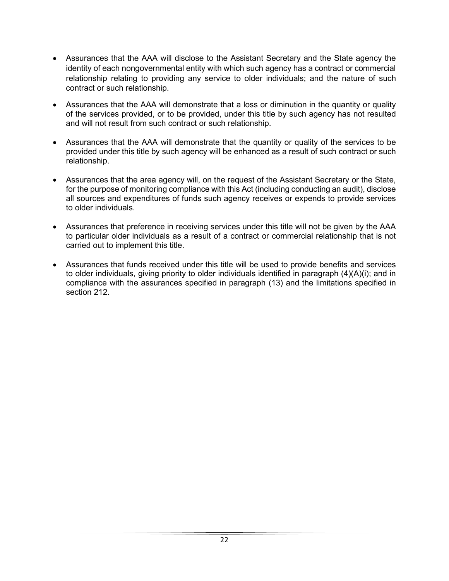- Assurances that the AAA will disclose to the Assistant Secretary and the State agency the identity of each nongovernmental entity with which such agency has a contract or commercial relationship relating to providing any service to older individuals; and the nature of such contract or such relationship.
- Assurances that the AAA will demonstrate that a loss or diminution in the quantity or quality of the services provided, or to be provided, under this title by such agency has not resulted and will not result from such contract or such relationship.
- Assurances that the AAA will demonstrate that the quantity or quality of the services to be provided under this title by such agency will be enhanced as a result of such contract or such relationship.
- Assurances that the area agency will, on the request of the Assistant Secretary or the State, for the purpose of monitoring compliance with this Act (including conducting an audit), disclose all sources and expenditures of funds such agency receives or expends to provide services to older individuals.
- Assurances that preference in receiving services under this title will not be given by the AAA to particular older individuals as a result of a contract or commercial relationship that is not carried out to implement this title.
- Assurances that funds received under this title will be used to provide benefits and services to older individuals, giving priority to older individuals identified in paragraph (4)(A)(i); and in compliance with the assurances specified in paragraph (13) and the limitations specified in section 212.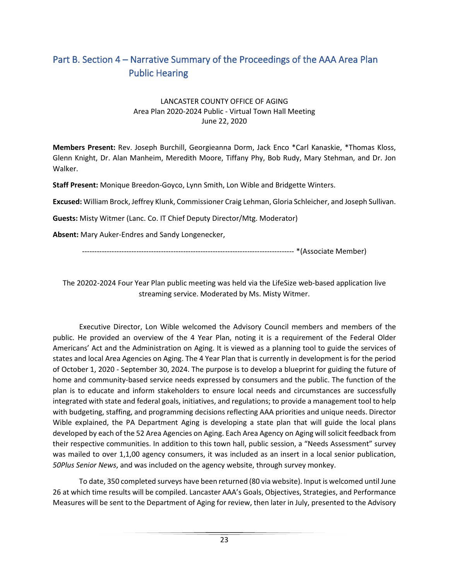# Part B. Section 4 – Narrative Summary of the Proceedings of the AAA Area Plan Public Hearing

#### LANCASTER COUNTY OFFICE OF AGING Area Plan 2020-2024 Public - Virtual Town Hall Meeting June 22, 2020

**Members Present:** Rev. Joseph Burchill, Georgieanna Dorm, Jack Enco \*Carl Kanaskie, \*Thomas Kloss, Glenn Knight, Dr. Alan Manheim, Meredith Moore, Tiffany Phy, Bob Rudy, Mary Stehman, and Dr. Jon Walker.

**Staff Present:** Monique Breedon-Goyco, Lynn Smith, Lon Wible and Bridgette Winters.

**Excused:** William Brock, Jeffrey Klunk, Commissioner Craig Lehman, Gloria Schleicher, and Joseph Sullivan.

**Guests:** Misty Witmer (Lanc. Co. IT Chief Deputy Director/Mtg. Moderator)

**Absent:** Mary Auker-Endres and Sandy Longenecker,

-------------------------------------------------------------------------------------- \*(Associate Member)

The 20202-2024 Four Year Plan public meeting was held via the LifeSize web-based application live streaming service. Moderated by Ms. Misty Witmer.

Executive Director, Lon Wible welcomed the Advisory Council members and members of the public. He provided an overview of the 4 Year Plan, noting it is a requirement of the Federal Older Americans' Act and the Administration on Aging. It is viewed as a planning tool to guide the services of states and local Area Agencies on Aging. The 4 Year Plan that is currently in development is for the period of October 1, 2020 - September 30, 2024. The purpose is to develop a blueprint for guiding the future of home and community-based service needs expressed by consumers and the public. The function of the plan is to educate and inform stakeholders to ensure local needs and circumstances are successfully integrated with state and federal goals, initiatives, and regulations; to provide a management tool to help with budgeting, staffing, and programming decisions reflecting AAA priorities and unique needs. Director Wible explained, the PA Department Aging is developing a state plan that will guide the local plans developed by each of the 52 Area Agencies on Aging. Each Area Agency on Aging will solicit feedback from their respective communities. In addition to this town hall, public session, a "Needs Assessment" survey was mailed to over 1,1,00 agency consumers, it was included as an insert in a local senior publication, *50Plus Senior News*, and was included on the agency website, through survey monkey.

To date, 350 completed surveys have been returned (80 via website). Input is welcomed until June 26 at which time results will be compiled. Lancaster AAA's Goals, Objectives, Strategies, and Performance Measures will be sent to the Department of Aging for review, then later in July, presented to the Advisory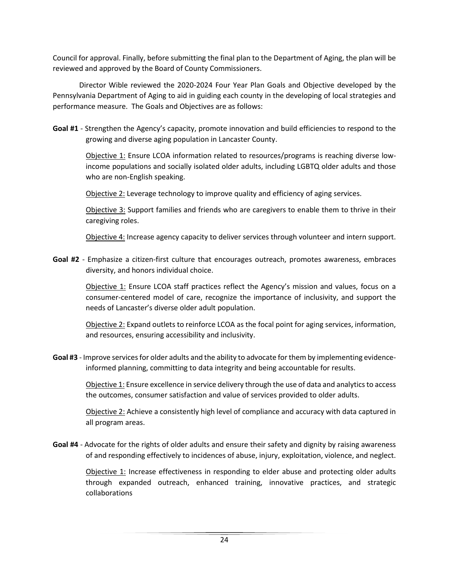Council for approval. Finally, before submitting the final plan to the Department of Aging, the plan will be reviewed and approved by the Board of County Commissioners.

Director Wible reviewed the 2020-2024 Four Year Plan Goals and Objective developed by the Pennsylvania Department of Aging to aid in guiding each county in the developing of local strategies and performance measure. The Goals and Objectives are as follows:

**Goal #1** - Strengthen the Agency's capacity, promote innovation and build efficiencies to respond to the growing and diverse aging population in Lancaster County.

Objective 1: Ensure LCOA information related to resources/programs is reaching diverse lowincome populations and socially isolated older adults, including LGBTQ older adults and those who are non-English speaking.

Objective 2: Leverage technology to improve quality and efficiency of aging services.

Objective 3: Support families and friends who are caregivers to enable them to thrive in their caregiving roles.

Objective 4: Increase agency capacity to deliver services through volunteer and intern support.

**Goal #2** - Emphasize a citizen-first culture that encourages outreach, promotes awareness, embraces diversity, and honors individual choice.

Objective 1: Ensure LCOA staff practices reflect the Agency's mission and values, focus on a consumer-centered model of care, recognize the importance of inclusivity, and support the needs of Lancaster's diverse older adult population.

Objective 2: Expand outlets to reinforce LCOA as the focal point for aging services, information, and resources, ensuring accessibility and inclusivity.

**Goal #3** - Improve services for older adults and the ability to advocate for them by implementing evidenceinformed planning, committing to data integrity and being accountable for results.

Objective 1: Ensure excellence in service delivery through the use of data and analytics to access the outcomes, consumer satisfaction and value of services provided to older adults.

Objective 2: Achieve a consistently high level of compliance and accuracy with data captured in all program areas.

**Goal #4** - Advocate for the rights of older adults and ensure their safety and dignity by raising awareness of and responding effectively to incidences of abuse, injury, exploitation, violence, and neglect.

Objective 1: Increase effectiveness in responding to elder abuse and protecting older adults through expanded outreach, enhanced training, innovative practices, and strategic collaborations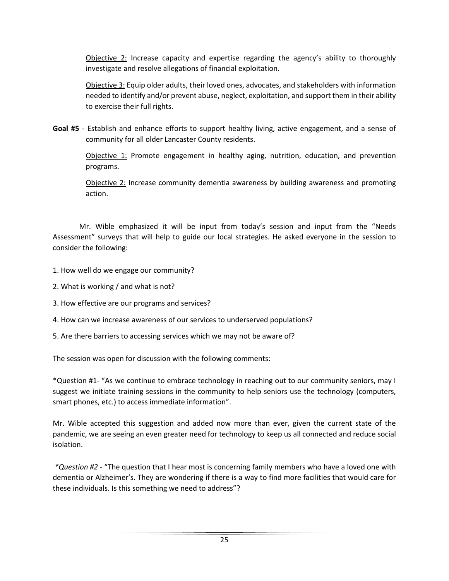Objective 2: Increase capacity and expertise regarding the agency's ability to thoroughly investigate and resolve allegations of financial exploitation.

Objective 3: Equip older adults, their loved ones, advocates, and stakeholders with information needed to identify and/or prevent abuse, neglect, exploitation, and support them in their ability to exercise their full rights.

**Goal #5** - Establish and enhance efforts to support healthy living, active engagement, and a sense of community for all older Lancaster County residents.

Objective 1: Promote engagement in healthy aging, nutrition, education, and prevention programs.

Objective 2: Increase community dementia awareness by building awareness and promoting action.

Mr. Wible emphasized it will be input from today's session and input from the "Needs Assessment" surveys that will help to guide our local strategies. He asked everyone in the session to consider the following:

- 1. How well do we engage our community?
- 2. What is working / and what is not?
- 3. How effective are our programs and services?
- 4. How can we increase awareness of our services to underserved populations?
- 5. Are there barriers to accessing services which we may not be aware of?

The session was open for discussion with the following comments:

\*Question #1- "As we continue to embrace technology in reaching out to our community seniors, may I suggest we initiate training sessions in the community to help seniors use the technology (computers, smart phones, etc.) to access immediate information".

Mr. Wible accepted this suggestion and added now more than ever, given the current state of the pandemic, we are seeing an even greater need for technology to keep us all connected and reduce social isolation.

*\*Question #2* - "The question that I hear most is concerning family members who have a loved one with dementia or Alzheimer's. They are wondering if there is a way to find more facilities that would care for these individuals. Is this something we need to address"?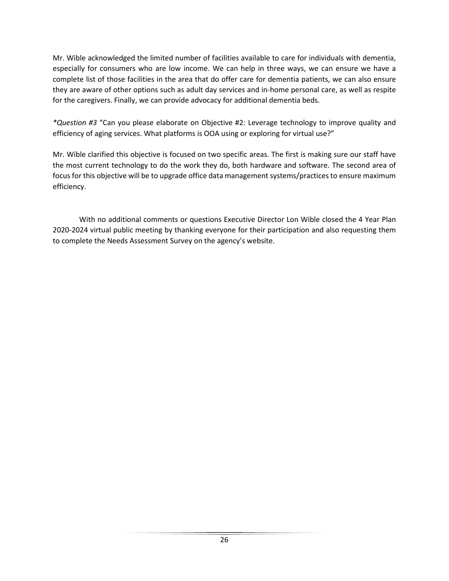Mr. Wible acknowledged the limited number of facilities available to care for individuals with dementia, especially for consumers who are low income. We can help in three ways, we can ensure we have a complete list of those facilities in the area that do offer care for dementia patients, we can also ensure they are aware of other options such as adult day services and in-home personal care, as well as respite for the caregivers. Finally, we can provide advocacy for additional dementia beds.

*\*Question #3* "Can you please elaborate on Objective #2: Leverage technology to improve quality and efficiency of aging services. What platforms is OOA using or exploring for virtual use?"

Mr. Wible clarified this objective is focused on two specific areas. The first is making sure our staff have the most current technology to do the work they do, both hardware and software. The second area of focus for this objective will be to upgrade office data management systems/practices to ensure maximum efficiency.

With no additional comments or questions Executive Director Lon Wible closed the 4 Year Plan 2020-2024 virtual public meeting by thanking everyone for their participation and also requesting them to complete the Needs Assessment Survey on the agency's website.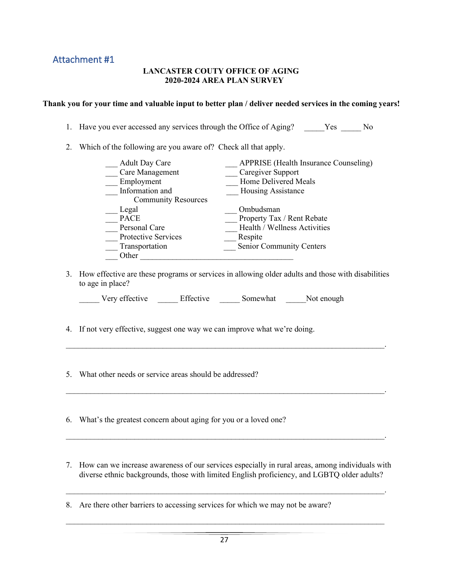## Attachment #1

#### **LANCASTER COUTY OFFICE OF AGING 2020-2024 AREA PLAN SURVEY**

#### **Thank you for your time and valuable input to better plan / deliver needed services in the coming years!**

- 1. Have you ever accessed any services through the Office of Aging? Yes No
- 2. Which of the following are you aware of? Check all that apply.

| <b>Adult Day Care</b>      | APPRISE (Health Insurance Counseling) |
|----------------------------|---------------------------------------|
| Care Management            | Caregiver Support                     |
| Employment                 | Home Delivered Meals                  |
| Information and            | Housing Assistance                    |
| <b>Community Resources</b> |                                       |
| Legal                      | Ombudsman                             |
| <b>PACE</b>                | Property Tax / Rent Rebate            |
| Personal Care              | Health / Wellness Activities          |
| Protective Services        | Respite                               |
| Transportation             | <b>Senior Community Centers</b>       |
| Other                      |                                       |

3. How effective are these programs or services in allowing older adults and those with disabilities to age in place?

\_\_\_\_\_\_\_\_\_\_\_\_\_\_\_\_\_\_\_\_\_\_\_\_\_\_\_\_\_\_\_\_\_\_\_\_\_\_\_\_\_\_\_\_\_\_\_\_\_\_\_\_\_\_\_\_\_\_\_\_\_\_\_\_\_\_\_\_\_\_\_\_\_\_\_\_\_\_\_.

 $\mathcal{L}_\text{max} = \mathcal{L}_\text{max} = \mathcal{L}_\text{max} = \mathcal{L}_\text{max} = \mathcal{L}_\text{max} = \mathcal{L}_\text{max} = \mathcal{L}_\text{max} = \mathcal{L}_\text{max} = \mathcal{L}_\text{max} = \mathcal{L}_\text{max} = \mathcal{L}_\text{max} = \mathcal{L}_\text{max} = \mathcal{L}_\text{max} = \mathcal{L}_\text{max} = \mathcal{L}_\text{max} = \mathcal{L}_\text{max} = \mathcal{L}_\text{max} = \mathcal{L}_\text{max} = \mathcal{$ 

 $\_$  , and the contribution of the contribution of the contribution of the contribution of  $\mathcal{A}$ 

|  | Verv effective | Effective | Somewhat | Not enough |
|--|----------------|-----------|----------|------------|
|--|----------------|-----------|----------|------------|

- 4. If not very effective, suggest one way we can improve what we're doing.
- 5. What other needs or service areas should be addressed?
- 6. What's the greatest concern about aging for you or a loved one?
- 7. How can we increase awareness of our services especially in rural areas, among individuals with diverse ethnic backgrounds, those with limited English proficiency, and LGBTQ older adults?

 $\_$  , and the set of the set of the set of the set of the set of the set of the set of the set of the set of the set of the set of the set of the set of the set of the set of the set of the set of the set of the set of th

8. Are there other barriers to accessing services for which we may not be aware?

 $\_$  , and the set of the set of the set of the set of the set of the set of the set of the set of the set of the set of the set of the set of the set of the set of the set of the set of the set of the set of the set of th